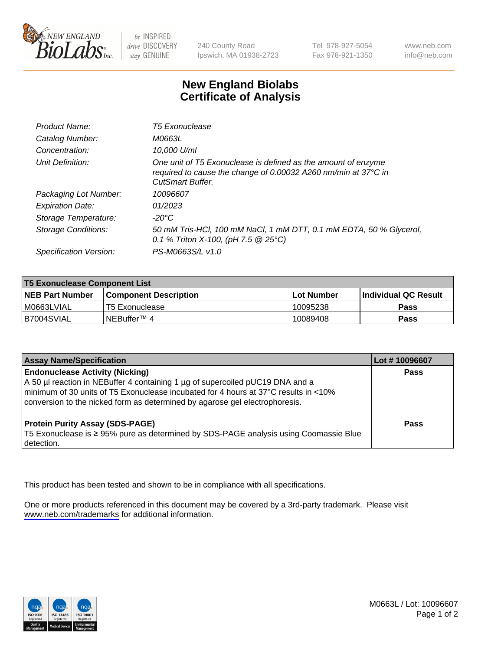

be INSPIRED drive DISCOVERY stay GENUINE

240 County Road Ipswich, MA 01938-2723 Tel 978-927-5054 Fax 978-921-1350

www.neb.com info@neb.com

## **New England Biolabs Certificate of Analysis**

| Product Name:              | <b>T5 Exonuclease</b>                                                                                                                                      |
|----------------------------|------------------------------------------------------------------------------------------------------------------------------------------------------------|
| Catalog Number:            | M0663L                                                                                                                                                     |
| Concentration:             | 10,000 U/ml                                                                                                                                                |
| Unit Definition:           | One unit of T5 Exonuclease is defined as the amount of enzyme<br>required to cause the change of 0.00032 A260 nm/min at 37°C in<br><b>CutSmart Buffer.</b> |
| Packaging Lot Number:      | 10096607                                                                                                                                                   |
| <b>Expiration Date:</b>    | 01/2023                                                                                                                                                    |
| Storage Temperature:       | $-20^{\circ}$ C                                                                                                                                            |
| <b>Storage Conditions:</b> | 50 mM Tris-HCl, 100 mM NaCl, 1 mM DTT, 0.1 mM EDTA, 50 % Glycerol,<br>0.1 % Triton X-100, (pH 7.5 $@25°C$ )                                                |
| Specification Version:     | PS-M0663S/L v1.0                                                                                                                                           |

| <b>T5 Exonuclease Component List</b> |                         |             |                             |  |
|--------------------------------------|-------------------------|-------------|-----------------------------|--|
| <b>NEB Part Number</b>               | l Component Description | ⊺Lot Number | <b>Individual QC Result</b> |  |
| I M0663LVIAL                         | T5 Exonuclease          | 10095238    | <b>Pass</b>                 |  |
| IB7004SVIAL                          | l NEBuffer™ 4∶          | 10089408    | <b>Pass</b>                 |  |

| <b>Assay Name/Specification</b>                                                                                                                                                                                                                                                               | Lot # 10096607 |
|-----------------------------------------------------------------------------------------------------------------------------------------------------------------------------------------------------------------------------------------------------------------------------------------------|----------------|
| <b>Endonuclease Activity (Nicking)</b><br>A 50 µl reaction in NEBuffer 4 containing 1 µg of supercoiled pUC19 DNA and a<br>minimum of 30 units of T5 Exonuclease incubated for 4 hours at 37°C results in <10%<br>conversion to the nicked form as determined by agarose gel electrophoresis. | <b>Pass</b>    |
| <b>Protein Purity Assay (SDS-PAGE)</b><br>T5 Exonuclease is ≥ 95% pure as determined by SDS-PAGE analysis using Coomassie Blue<br>detection.                                                                                                                                                  | Pass           |

This product has been tested and shown to be in compliance with all specifications.

One or more products referenced in this document may be covered by a 3rd-party trademark. Please visit <www.neb.com/trademarks>for additional information.